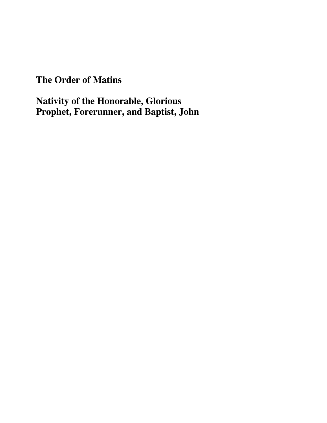## **The Order of Matins**

# **Nativity of the Honorable, Glorious Prophet, Forerunner, and Baptist, John**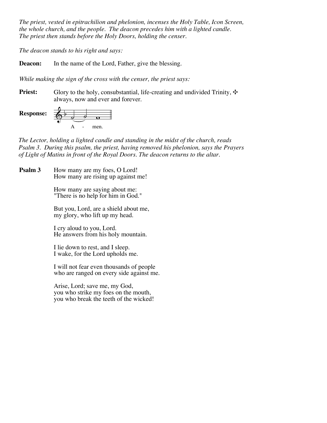*The priest, vested in epitrachilion and phelonion, incenses the Holy Table, Icon Screen, the whole church, and the people. The deacon precedes him with a lighted candle. The priest then stands before the Holy Doors, holding the censer.*

*The deacon stands to his right and says:*

**Deacon:** In the name of the Lord, Father, give the blessing.

*While making the sign of the cross with the censer, the priest says:*

**Priest:** Glory to the holy, consubstantial, life-creating and undivided Trinity,  $\cdot \cdot$ always, now and ever and forever.



*The Lector, holding a lighted candle and standing in the midst of the church, reads Psalm 3. During this psalm, the priest, having removed his phelonion, says the Prayers of Light of Matins in front of the Royal Doors. The deacon returns to the altar.*

How many are my foes, O Lord! How many are rising up against me! **Psalm 3**

> How many are saying about me: "There is no help for him in God."

But you, Lord, are a shield about me, my glory, who lift up my head.

I cry aloud to you, Lord. He answers from his holy mountain.

I lie down to rest, and I sleep. I wake, for the Lord upholds me.

I will not fear even thousands of people who are ranged on every side against me.

Arise, Lord; save me, my God, you who strike my foes on the mouth, you who break the teeth of the wicked!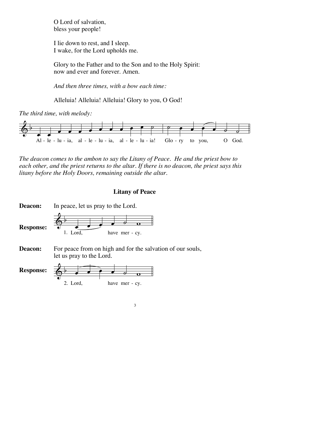O Lord of salvation, bless your people!

I lie down to rest, and I sleep. I wake, for the Lord upholds me.

Glory to the Father and to the Son and to the Holy Spirit: now and ever and forever. Amen.

*And then three times, with a bow each time:*

Alleluia! Alleluia! Alleluia! Glory to you, O God!

*The third time, with melody:*



*The deacon comes to the ambon to say the Litany of Peace. He and the priest bow to each other, and the priest returns to the altar. If there is no deacon, the priest says this litany before the Holy Doors, remaining outside the altar.*

## **Litany of Peace**

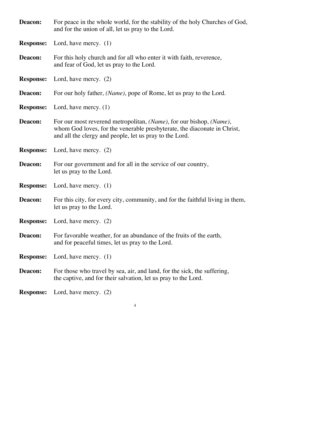| Deacon:          | For peace in the whole world, for the stability of the holy Churches of God,<br>and for the union of all, let us pray to the Lord.                                                                         |
|------------------|------------------------------------------------------------------------------------------------------------------------------------------------------------------------------------------------------------|
| <b>Response:</b> | Lord, have mercy. $(1)$                                                                                                                                                                                    |
| Deacon:          | For this holy church and for all who enter it with faith, reverence,<br>and fear of God, let us pray to the Lord.                                                                                          |
| <b>Response:</b> | Lord, have mercy. $(2)$                                                                                                                                                                                    |
| Deacon:          | For our holy father, (Name), pope of Rome, let us pray to the Lord.                                                                                                                                        |
| <b>Response:</b> | Lord, have mercy. $(1)$                                                                                                                                                                                    |
| Deacon:          | For our most reverend metropolitan, (Name), for our bishop, (Name),<br>whom God loves, for the venerable presbyterate, the diaconate in Christ,<br>and all the clergy and people, let us pray to the Lord. |
| <b>Response:</b> | Lord, have mercy. (2)                                                                                                                                                                                      |
| Deacon:          | For our government and for all in the service of our country,<br>let us pray to the Lord.                                                                                                                  |
| <b>Response:</b> | Lord, have mercy. $(1)$                                                                                                                                                                                    |
| Deacon:          | For this city, for every city, community, and for the faithful living in them,<br>let us pray to the Lord.                                                                                                 |
| <b>Response:</b> | Lord, have mercy. $(2)$                                                                                                                                                                                    |
| Deacon:          | For favorable weather, for an abundance of the fruits of the earth,<br>and for peaceful times, let us pray to the Lord.                                                                                    |
| <b>Response:</b> | Lord, have mercy. $(1)$                                                                                                                                                                                    |
| Deacon:          | For those who travel by sea, air, and land, for the sick, the suffering,<br>the captive, and for their salvation, let us pray to the Lord.                                                                 |
| <b>Response:</b> | Lord, have mercy. $(2)$                                                                                                                                                                                    |

4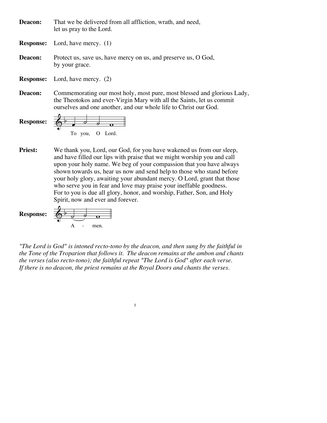That we be delivered from all affliction, wrath, and need, let us pray to the Lord. **Deacon:**

Lord, have mercy. (1) **Response:**

Protect us, save us, have mercy on us, and preserve us, O God, by your grace. **Deacon:**

Lord, have mercy. (2) **Response:**

Commemorating our most holy, most pure, most blessed and glorious Lady, the Theotokos and ever-Virgin Mary with all the Saints, let us commit ourselves and one another, and our whole life to Christ our God. **Deacon:**

**Response:** 
$$
\begin{array}{|c|c|c|}\n\hline\n\end{array}
$$
 To you, O Lord.

We thank you, Lord, our God, for you have wakened us from our sleep, and have filled our lips with praise that we might worship you and call upon your holy name. We beg of your compassion that you have always shown towards us, hear us now and send help to those who stand before your holy glory, awaiting your abundant mercy. O Lord, grant that those who serve you in fear and love may praise your ineffable goodness. For to you is due all glory, honor, and worship, Father, Son, and Holy Spirit, now and ever and forever. **Priest:**

**Response:** 
$$
\begin{array}{c|c}\n\hline\n\end{array}\n\qquad\n\begin{array}{c}\n\hline\n\end{array}\n\qquad\n\begin{array}{c}\n\hline\n\end{array}\n\qquad\n\begin{array}{c}\n\hline\n\end{array}\n\qquad\n\begin{array}{c}\n\hline\n\end{array}\n\qquad\n\begin{array}{c}\n\hline\n\end{array}\n\qquad\n\begin{array}{c}\n\hline\n\end{array}\n\qquad\n\begin{array}{c}\n\hline\n\end{array}\n\qquad\n\begin{array}{c}\n\hline\n\end{array}\n\qquad\n\begin{array}{c}\n\hline\n\end{array}\n\qquad\n\begin{array}{c}\n\hline\n\end{array}\n\qquad\n\begin{array}{c}\n\hline\n\end{array}\n\qquad\n\begin{array}{c}\n\hline\n\end{array}\n\qquad\n\begin{array}{c}\n\hline\n\end{array}\n\qquad\n\end{array}\n\qquad\n\begin{array}{c}\n\hline\n\end{array}\n\qquad\n\begin{array}{c}\n\hline\n\end{array}\n\qquad\n\begin{array}{c}\n\hline\n\end{array}\n\qquad\n\begin{array}{c}\n\hline\n\end{array}\n\qquad\n\begin{array}{c}\n\hline\n\end{array}\n\qquad\n\begin{array}{c}\n\hline\n\end{array}\n\qquad\n\begin{array}{c}\n\hline\n\end{array}\n\qquad\n\begin{array}{c}\n\hline\n\end{array}\n\qquad\n\begin{array}{c}\n\hline\n\end{array}\n\qquad\n\begin{array}{c}\n\hline\n\end{array}\n\qquad\n\begin{array}{c}\n\hline\n\end{array}\n\qquad\n\begin{array}{c}\n\hline\n\end{array}\n\qquad\n\begin{array}{c}\n\hline\n\end{array}\n\qquad\n\begin{array}{c}\n\hline\n\end{array}\n\qquad\n\begin{array}{c}\n\hline\n\end{array}\n\qquad\n\begin{array}{c}\n\hline\n\end{array}\n\qquad\n\begin{array}{c}\n\hline\n\end{array}\n\qquad\n\begin{array}{c}\n\hline\n\end{array}\n\qquad\n\begin{array}{c}\n\hline\n\end{array}\n\qquad\n\begin{array}{c}\n\hline\n\end{array}\n\
$$

*"The Lord is God" is intoned recto-tono by the deacon, and then sung by the faithful in the Tone of the Troparion that follows it. The deacon remains at the ambon and chants the verses (also recto-tono); the faithful repeat "The Lord is God" after each verse. If there is no deacon, the priest remains at the Royal Doors and chants the verses.*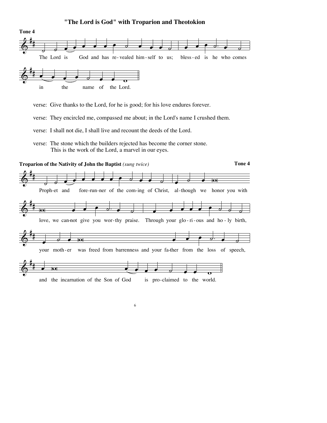## $\textcolor{blue}{\bigcirc}^*$ # *; , , , , , , , , , , , ,* The Lord is God and has re-vealed him-self to us:  $\bullet$   $\bullet$   $\circ$   $\bullet$   $\circ$ bless-ed is he who comes  $\&$  $\overrightarrow{a}$   $\overrightarrow{c}$   $\overrightarrow{c}$   $\overrightarrow{c}$   $\overrightarrow{c}$ in the name of the Lord. **Tone 4**

**"The Lord is God" with Troparion and Theotokion**

verse: Give thanks to the Lord, for he is good; for his love endures forever.

verse: They encircled me, compassed me about; in the Lord's name I crushed them.

verse: The stone which the builders rejected has become the corner stone. This is the work of the Lord, a marvel in our eyes.



verse: I shall not die, I shall live and recount the deeds of the Lord.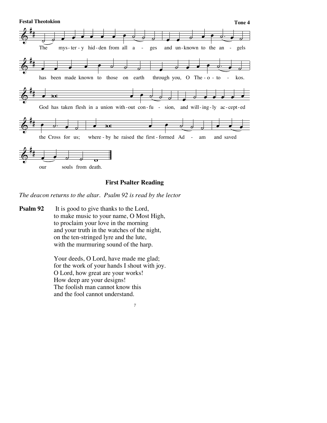

## **First Psalter Reading**

*The deacon returns to the altar. Psalm 92 is read by the lector*

It is good to give thanks to the Lord, to make music to your name, O Most High, to proclaim your love in the morning and your truth in the watches of the night, on the ten-stringed lyre and the lute, with the murmuring sound of the harp. **Psalm 92**

> Your deeds, O Lord, have made me glad; for the work of your hands I shout with joy. O Lord, how great are your works! How deep are your designs! The foolish man cannot know this and the fool cannot understand.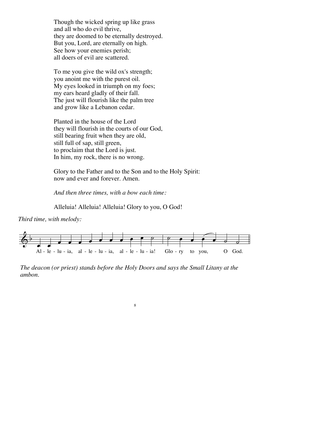Though the wicked spring up like grass and all who do evil thrive, they are doomed to be eternally destroyed. But you, Lord, are eternally on high. See how your enemies perish; all doers of evil are scattered.

To me you give the wild ox's strength; you anoint me with the purest oil. My eyes looked in triumph on my foes; my ears heard gladly of their fall. The just will flourish like the palm tree and grow like a Lebanon cedar.

Planted in the house of the Lord they will flourish in the courts of our God, still bearing fruit when they are old, still full of sap, still green, to proclaim that the Lord is just. In him, my rock, there is no wrong.

Glory to the Father and to the Son and to the Holy Spirit: now and ever and forever. Amen.

*And then three times, with a bow each time:*

Alleluia! Alleluia! Alleluia! Glory to you, O God!

*Third time, with melody:*



*The deacon (or priest) stands before the Holy Doors and says the Small Litany at the ambon.*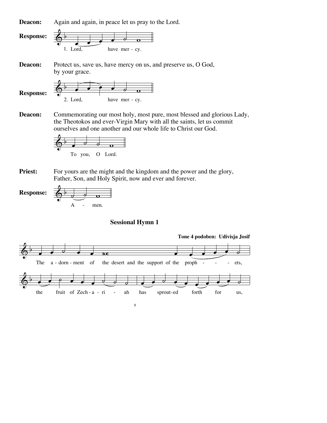

Commemorating our most holy, most pure, most blessed and glorious Lady, the Theotokos and ever-Virgin Mary with all the saints, let us commit ourselves and one another and our whole life to Christ our God. **Deacon:**



For yours are the might and the kingdom and the power and the glory, Father, Son, and Holy Spirit, now and ever and forever. **Priest:**



#### **Sessional Hymn 1**

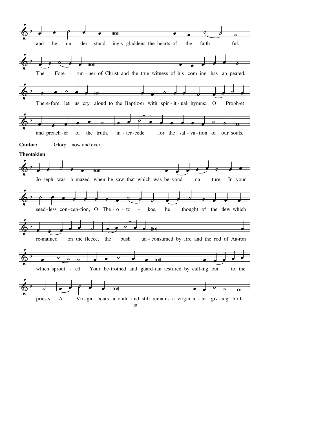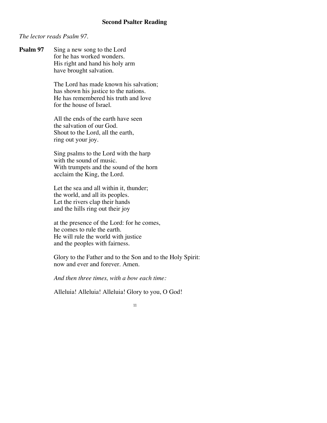## **Second Psalter Reading**

#### *The lector reads Psalm 97.*

Sing a new song to the Lord for he has worked wonders. His right and hand his holy arm have brought salvation. **Psalm 97**

> The Lord has made known his salvation; has shown his justice to the nations. He has remembered his truth and love for the house of Israel.

All the ends of the earth have seen the salvation of our God. Shout to the Lord, all the earth, ring out your joy.

Sing psalms to the Lord with the harp with the sound of music. With trumpets and the sound of the horn acclaim the King, the Lord.

Let the sea and all within it, thunder; the world, and all its peoples. Let the rivers clap their hands and the hills ring out their joy

at the presence of the Lord: for he comes, he comes to rule the earth. He will rule the world with justice and the peoples with fairness.

Glory to the Father and to the Son and to the Holy Spirit: now and ever and forever. Amen.

*And then three times, with a bow each time:*

Alleluia! Alleluia! Alleluia! Glory to you, O God!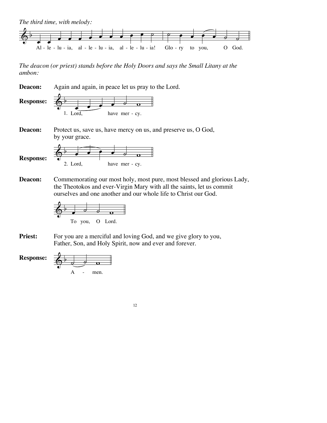

*The deacon (or priest) stands before the Holy Doors and says the Small Litany at the ambon:*

 $\overline{\mathbb{Q}}^{\flat}$ 1. Lord,  $\bullet$   $\bullet$   $\circ$   $\circ$ have mer - cy.  $\overline{\mathbb{Q}}^{\flat}$ 2. Lord.  $\bullet$   $\bullet$   $\bullet$   $\circ$   $\circ$ have mer - cy. Again and again, in peace let us pray to the Lord. Protect us, save us, have mercy on us, and preserve us, O God, by your grace. Commemorating our most holy, most pure, most blessed and glorious Lady, the Theotokos and ever-Virgin Mary with all the saints, let us commit ourselves and one another and our whole life to Christ our God. **Deacon: Response: Deacon: Response: Deacon:**



For you are a merciful and loving God, and we give glory to you, Father, Son, and Holy Spirit, now and ever and forever. **Priest:**

 $\phi$   $\circ$   $\circ$   $\circ$ A - men. **Response:**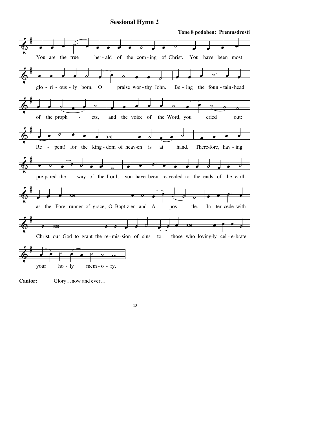#### **Sessional Hymn 2**



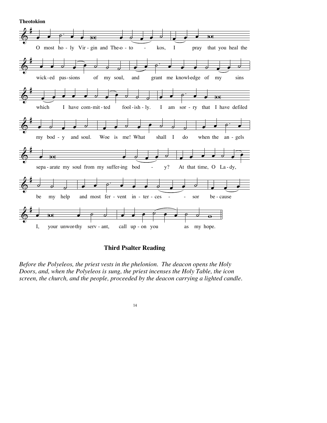**Theotokion** 



**Third Psalter Reading** 

Before the Polyeleos, the priest vests in the phelonion. The deacon opens the Holy Doors, and, when the Polyeleos is sung, the priest incenses the Holy Table, the icon screen, the church, and the people, proceeded by the deacon carrying a lighted candle.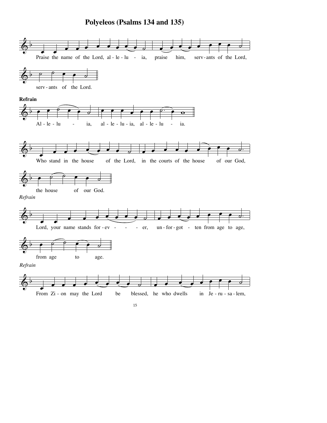## **Polyeleos (Psalms 134 and 135)**

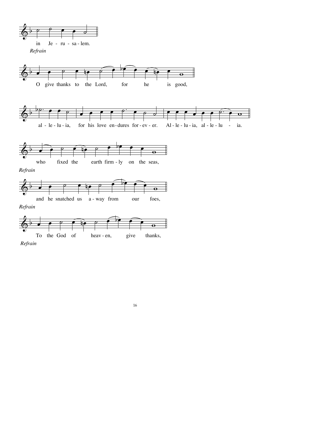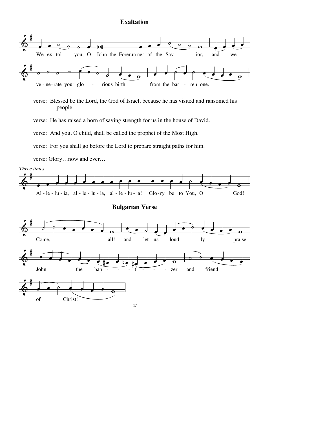## **Exaltation**



verse: Blessed be the Lord, the God of Israel, because he has visited and ransomed his people

verse: He has raised a horn of saving strength for us in the house of David.

verse: And you, O child, shall be called the prophet of the Most High.

verse: For you shall go before the Lord to prepare straight paths for him.

verse: Glory…now and ever…

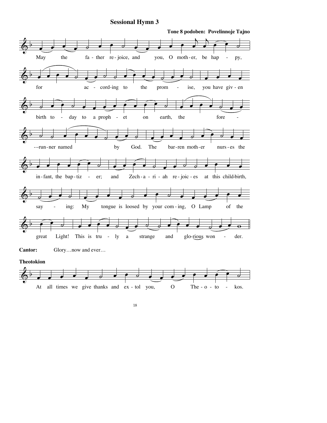### **Sessional Hymn 3**



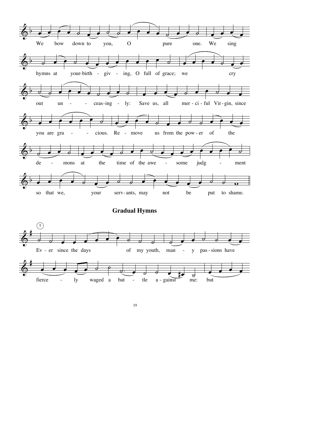

**Gradual Hymns** 

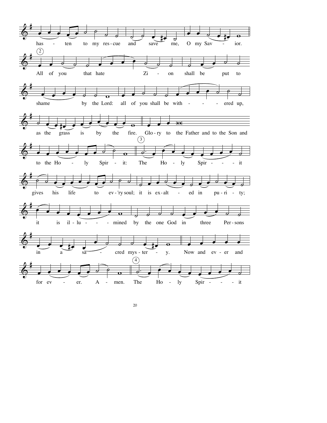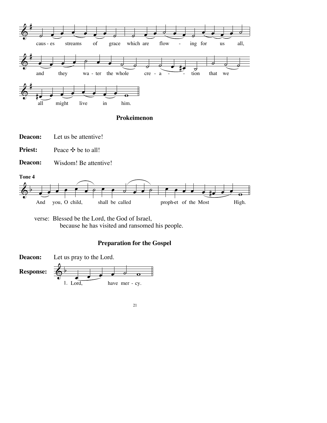

**Prokeimenon**

Let us be attentive! **Deacon:**

Peace **<sup>\*</sup>** be to all! **Priest:**

Wisdom! Be attentive! **Deacon:**



verse: Blessed be the Lord, the God of Israel, because he has visited and ransomed his people.

## **Preparation for the Gospel**

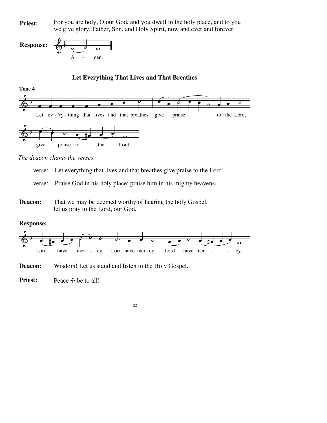For you are holy, O our God, and you dwell in the holy place, and to you **Priest:** For you are holy, O our God, and you dwell in the holy place, and to you are give glory, Father, Son, and Holy Spirit, now and ever and forever.



### **Let Everything That Lives and That Breathes**

**Tone 4**



*The deacon chants the verses.*

- verse: Let everything that lives and that breathes give praise to the Lord!
- verse: Praise God in his holy place; praise him in his mighty heavens.
- That we may be deemed worthy of hearing the holy Gospel, let us pray to the Lord, our God. **Deacon:**

## **Response:**



Wisdom! Let us stand and listen to the Holy Gospel. **Deacon:**

Peace  $\cdot \cdot \cdot$  be to all! **Priest:**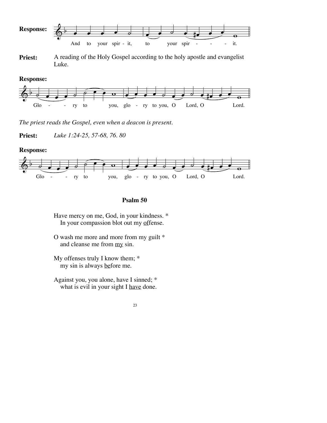

**Priest:** A reading of the Holy Gospel according to the holy apostle and evangelist Luke.

**Response:**



*The priest reads the Gospel, even when a deacon is present.*

**Priest:** *Luke 1:24-25, 57-68, 76. 80*

#### **Response:**



#### **Psalm 50**

Have mercy on me, God, in your kindness. \* In your compassion blot out my offense.

- O wash me more and more from my guilt \* and cleanse me from my sin.
- My offenses truly I know them; \* my sin is always before me.
- Against you, you alone, have I sinned; \* what is evil in your sight I have done.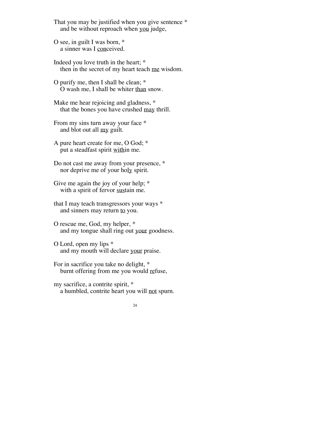That you may be justified when you give sentence \* and be without reproach when you judge,

O see, in guilt I was born, \* a sinner was I conceived.

Indeed you love truth in the heart; \* then in the secret of my heart teach me wisdom.

O purify me, then I shall be clean; \* O wash me, I shall be whiter than snow.

Make me hear rejoicing and gladness, \* that the bones you have crushed may thrill.

From my sins turn away your face \* and blot out all my guilt.

A pure heart create for me, O God; \* put a steadfast spirit within me.

Do not cast me away from your presence, \* nor deprive me of your holy spirit.

Give me again the joy of your help;  $*$ with a spirit of fervor sustain me.

that I may teach transgressors your ways \* and sinners may return to you.

O rescue me, God, my helper, \* and my tongue shall ring out your goodness.

O Lord, open my lips \* and my mouth will declare your praise.

For in sacrifice you take no delight, \* burnt offering from me you would refuse,

my sacrifice, a contrite spirit, \* a humbled, contrite heart you will not spurn.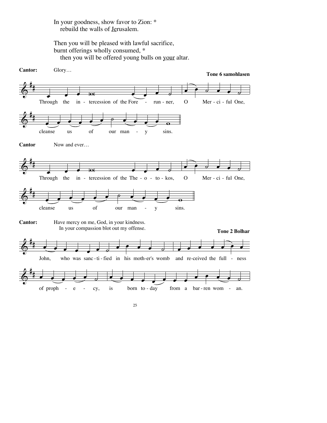#### In your goodness, show favor to Zion: \* rebuild the walls of Jerusalem.

Then you will be pleased with lawful sacrifice, burnt offerings wholly consumed, \* then you will be offered young bulls on your altar.

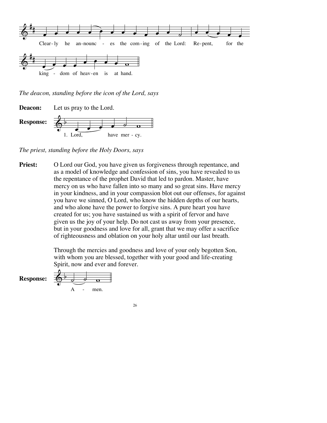

*The deacon, standing before the icon of the Lord, says*



*The priest, standing before the Holy Doors, says*

O Lord our God, you have given us forgiveness through repentance, and as a model of knowledge and confession of sins, you have revealed to us the repentance of the prophet David that led to pardon. Master, have mercy on us who have fallen into so many and so great sins. Have mercy in your kindness, and in your compassion blot out our offenses, for against you have we sinned, O Lord, who know the hidden depths of our hearts, and who alone have the power to forgive sins. A pure heart you have created for us; you have sustained us with a spirit of fervor and have given us the joy of your help. Do not cast us away from your presence, but in your goodness and love for all, grant that we may offer a sacrifice of righteousness and oblation on your holy altar until our last breath. **Priest:**

> Through the mercies and goodness and love of your only begotten Son, with whom you are blessed, together with your good and life-creating Spirit, now and ever and forever.

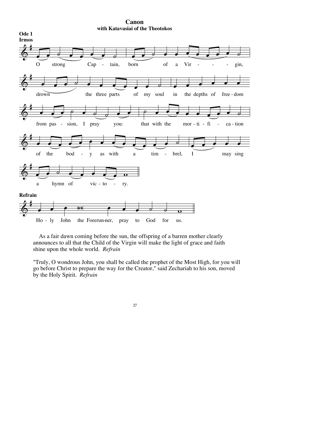

**Canon with Katavasiai of the Theotokos**

As a fair dawn coming before the sun, the offspring of a barren mother clearly announces to all that the Child of the Virgin will make the light of grace and faith shine upon the whole world. *Refrain*

"Truly, O wondrous John, you shall be called the prophet of the Most High, for you will go before Christ to prepare the way for the Creator," said Zechariah to his son, moved by the Holy Spirit. *Refrain*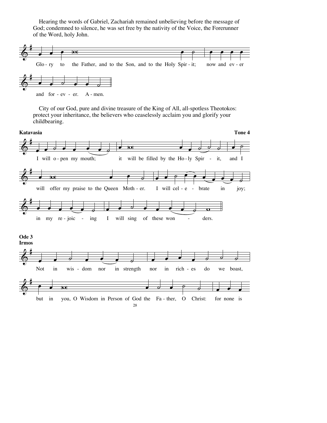Hearing the words of Gabriel, Zachariah remained unbelieving before the message of God; condemned to silence, he was set free by the nativity of the Voice, the Forerunner of the Word, holy John.



City of our God, pure and divine treasure of the King of All, all-spotless Theotokos: protect your inheritance, the believers who ceaselessly acclaim you and glorify your childbearing.

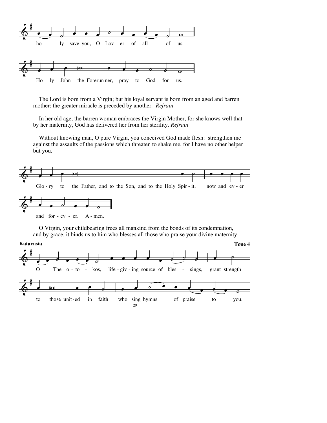

The Lord is born from a Virgin; but his loyal servant is born from an aged and barren mother; the greater miracle is preceded by another. *Refrain*

In her old age, the barren woman embraces the Virgin Mother, for she knows well that by her maternity, God has delivered her from her sterility. *Refrain*

Without knowing man, O pure Virgin, you conceived God made flesh: strengthen me against the assaults of the passions which threaten to shake me, for I have no other helper but you.



O Virgin, your childbearing frees all mankind from the bonds of its condemnation, and by grace, it binds us to him who blesses all those who praise your divine maternity.

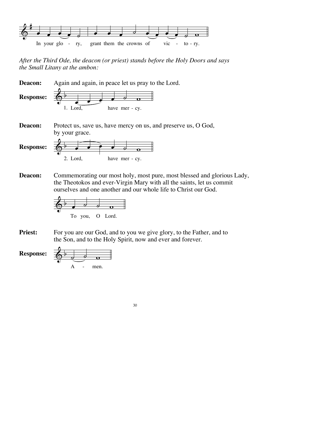

*After the Third Ode, the deacon (or priest) stands before the Holy Doors and says the Small Litany at the ambon:*



Commemorating our most holy, most pure, most blessed and glorious Lady, the Theotokos and ever-Virgin Mary with all the saints, let us commit ourselves and one another and our whole life to Christ our God. **Deacon:**



For you are our God, and to you we give glory, to the Father, and to the Son, and to the Holy Spirit, now and ever and forever. **Priest:**

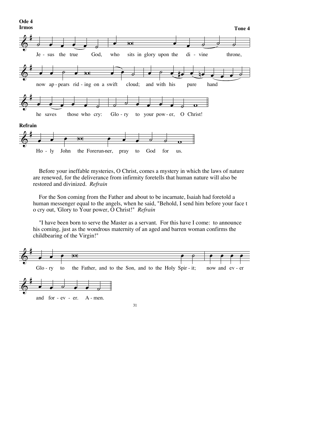

Before your ineffable mysteries, O Christ, comes a mystery in which the laws of nature are renewed, for the deliverance from infirmity foretells that human nature will also be restored and divinized. *Refrain*

For the Son coming from the Father and about to be incarnate, Isaiah had foretold a human messenger equal to the angels, when he said, "Behold, I send him before your face t o cry out, 'Glory to Your power, O Christ!" *Refrain*

"I have been born to serve the Master as a servant. For this have I come: to announce his coming, just as the wondrous maternity of an aged and barren woman confirms the childbearing of the Virgin!"

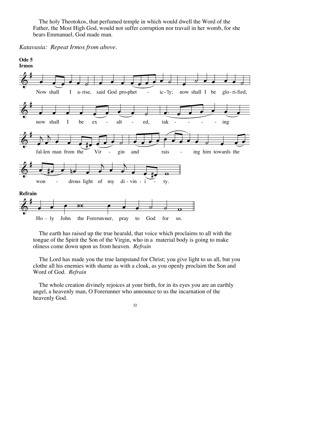The holy Theotokos, that perfumed temple in which would dwell the Word of the Father, the Most High God, would not suffer corruption nor travail in her womb, for she bears Emmanuel, God made man.

*Katavasia: Repeat Irmos from above.*



The earth has raised up the true hearald, that voice which proclaims to all with the tongue of the Spirit the Son of the Virgin, who in a material body is going to make oliness come down upon us from heaven. *Refrain*

The Lord has made you the true lampstand for Christ; you give light to us all, but you clothe all his enemies with shame as with a cloak, as you openly proclaim the Son and Word of God. *Refrain*

The whole creation divinely rejoices at your birth, for in its eyes you are an earthly angel, a heavenly man, O Forerunner who announce to us the incarnation of the heavenly God.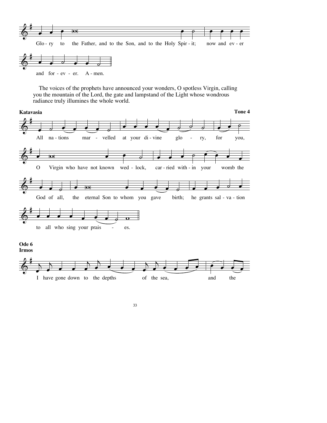

The voices of the prophets have announced your wonders, O spotless Virgin, calling you the mountain of the Lord, the gate and lampstand of the Light whose wondrous radiance truly illumines the whole world.

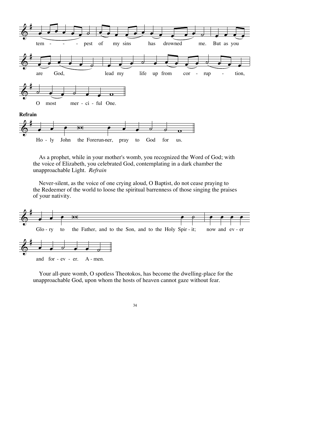

As a prophet, while in your mother's womb, you recognized the Word of God; with the voice of Elizabeth, you celebrated God, contemplating in a dark chamber the unapproachable Light. *Refrain*

Never-silent, as the voice of one crying aloud, O Baptist, do not cease praying to the Redeemer of the world to loose the spiritual barrenness of those singing the praises of your nativity.



Your all-pure womb, O spotless Theotokos, has become the dwelling-place for the unapproachable God, upon whom the hosts of heaven cannot gaze without fear.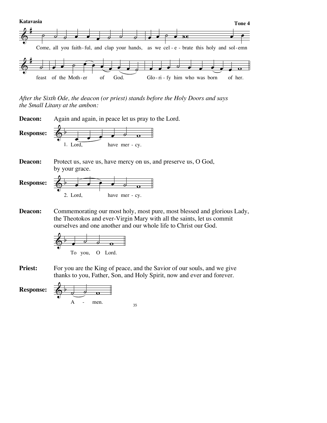

*After the Sixth Ode, the deacon (or priest) stands before the Holy Doors and says the Small Litany at the ambon:*



- 2. Lord. have mer - cy.
- Commemorating our most holy, most pure, most blessed and glorious Lady, the Theotokos and ever-Virgin Mary with all the saints, let us commit ourselves and one another and our whole life to Christ our God. **Deacon:**



For you are the King of peace, and the Savior of our souls, and we give thanks to you, Father, Son, and Holy Spirit, now and ever and forever. **Priest:**

**Response:**

 $\phi$   $\rightarrow$   $\circ$   $\circ$ A - men.  $35$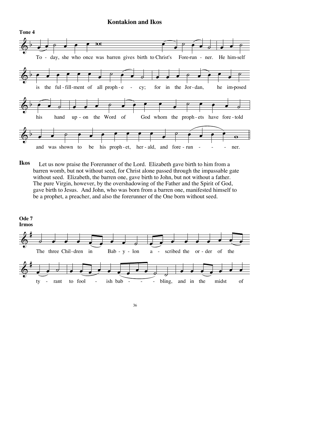#### **Kontakion and Ikos**



Let us now praise the Forerunner of the Lord. Elizabeth gave birth to him from a barren womb, but not without seed, for Christ alone passed through the impassable gate without seed. Elizabeth, the barren one, gave birth to John, but not without a father. The pure Virgin, however, by the overshadowing of the Father and the Spirit of God, gave birth to Jesus. And John, who was born from a barren one, manifested himself to be a prophet, a preacher, and also the forerunner of the One born without seed. **Ikos**

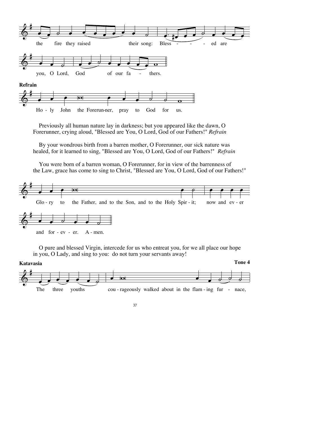

Previously all human nature lay in darkness; but you appeared like the dawn, O Forerunner, crying aloud, "Blessed are You, O Lord, God of our Fathers!" *Refrain*

By your wondrous birth from a barren mother, O Forerunner, our sick nature was healed, for it learned to sing, "Blessed are You, O Lord, God of our Fathers!" *Refrain*

You were born of a barren woman, O Forerunner, for in view of the barrenness of the Law, grace has come to sing to Christ, "Blessed are You, O Lord, God of our Fathers!"



O pure and blessed Virgin, intercede for us who entreat you, for we all place our hope in you, O Lady, and sing to you: do not turn your servants away!

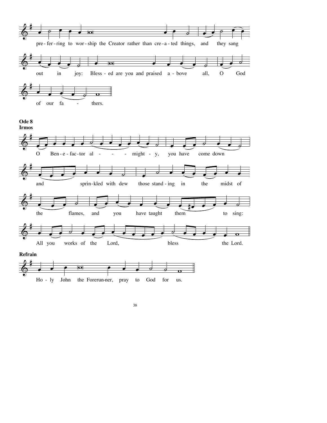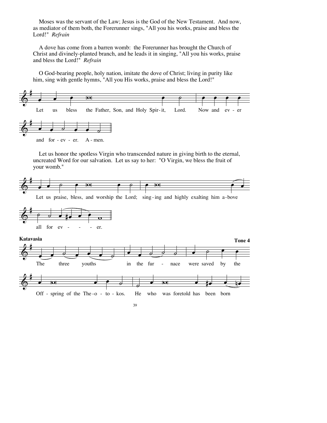Moses was the servant of the Law; Jesus is the God of the New Testament. And now, as mediator of them both, the Forerunner sings, "All you his works, praise and bless the Lord!" *Refrain*

A dove has come from a barren womb: the Forerunner has brought the Church of Christ and divinely-planted branch, and he leads it in singing, "All you his works, praise and bless the Lord!" *Refrain*

O God-bearing people, holy nation, imitate the dove of Christ; living in purity like him, sing with gentle hymns, "All you His works, praise and bless the Lord!"



Let us honor the spotless Virgin who transcended nature in giving birth to the eternal, uncreated Word for our salvation. Let us say to her: "O Virgin, we bless the fruit of your womb."

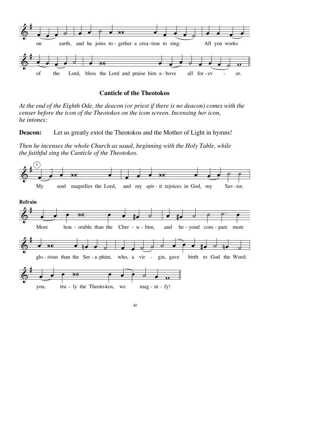

#### **Canticle of the Theotokos**

*At the end of the Eighth Ode, the deacon (or priest if there is no deacon) comes with the censer before the icon of the Theotokos on the icon screen. Incensing her icon, he intones:*

**Deacon:** Let us greatly extol the Theotokos and the Mother of Light in hymns!

*Then he incenses the whole Church as usual, beginning with the Holy Table, while the faithful sing the Canticle of the Theotokos.*

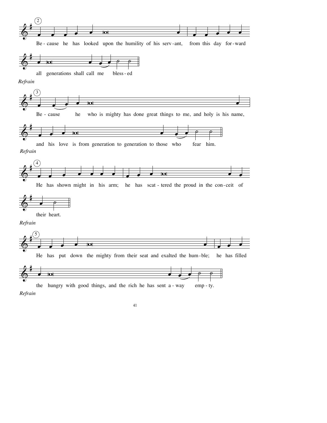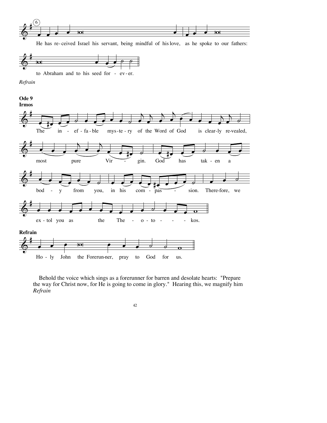

He has re-ceived Israel his servant, being mindful of hislove, as he spoke to our fathers:



to Abraham and to his seed for - ev - er.

*Refrain*



Behold the voice which sings as a forerunner for barren and desolate hearts: "Prepare the way for Christ now, for He is going to come in glory." Hearing this, we magnify him *Refrain*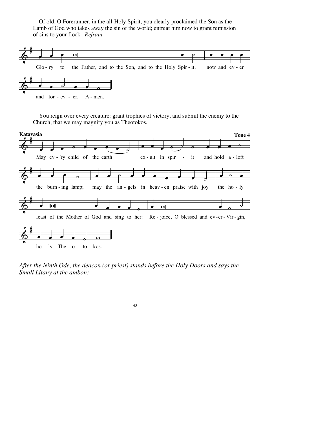Of old, O Forerunner, in the all-Holy Spirit, you clearly proclaimed the Son as the Lamb of God who takes away the sin of the world; entreat him now to grant remission of sins to your flock. Refrain



You reign over every creature: grant trophies of victory, and submit the enemy to the Church, that we may magnify you as Theotokos.



 $ho - ly$  The -  $o - to - kos$ .

After the Ninth Ode, the deacon (or priest) stands before the Holy Doors and says the Small Litany at the ambon: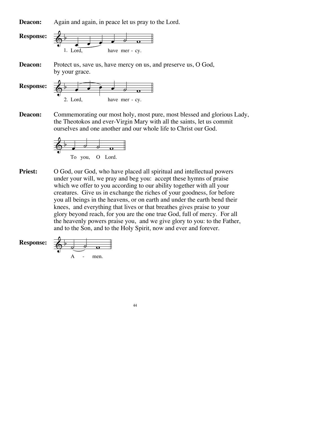Again and again, in peace let us pray to the Lord. **Deacon:**



Commemorating our most holy, most pure, most blessed and glorious Lady, the Theotokos and ever-Virgin Mary with all the saints, let us commit ourselves and one another and our whole life to Christ our God. **Deacon:**



O God, our God, who have placed all spiritual and intellectual powers under your will, we pray and beg you: accept these hymns of praise which we offer to you according to our ability together with all your creatures. Give us in exchange the riches of your goodness, for before you all beings in the heavens, or on earth and under the earth bend their knees, and everything that lives or that breathes gives praise to your glory beyond reach, for you are the one true God, full of mercy. For all the heavenly powers praise you, and we give glory to you: to the Father, and to the Son, and to the Holy Spirit, now and ever and forever. **Priest:**

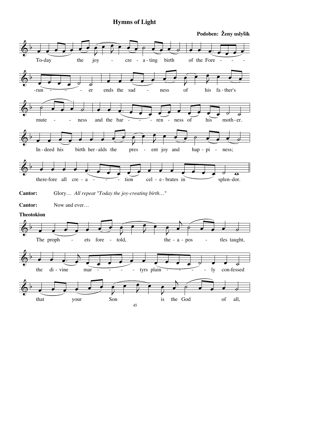## **Hymns of Light**

Podoben: Ženy uslyšik

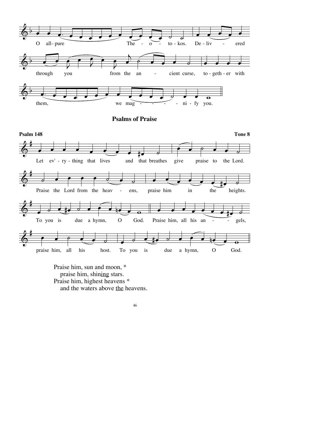

Praise him, sun and moon, \* praise him, shining stars. Praise him, highest heavens \* and the waters above the heavens.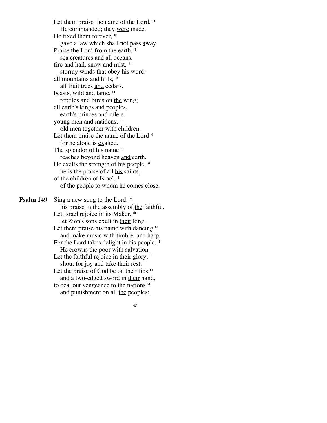Let them praise the name of the Lord. \* He commanded; they were made. He fixed them forever, \* gave a law which shall not pass away. Praise the Lord from the earth, \* sea creatures and all oceans, fire and hail, snow and mist, \* stormy winds that obey his word; all mountains and hills, \* all fruit trees and cedars, beasts, wild and tame, \* reptiles and birds on the wing; all earth's kings and peoples, earth's princes and rulers. young men and maidens, \* old men together with children. Let them praise the name of the Lord  $*$ for he alone is exalted. The splendor of his name \* reaches beyond heaven and earth. He exalts the strength of his people, \* he is the praise of all his saints, of the children of Israel, \* of the people to whom he comes close.

Sing a new song to the Lord, \* his praise in the assembly of the faithful. Let Israel rejoice in its Maker, \* let Zion's sons exult in their king. Let them praise his name with dancing  $*$ and make music with timbrel and harp. For the Lord takes delight in his people. \* He crowns the poor with salvation. Let the faithful rejoice in their glory,  $*$ shout for joy and take their rest. Let the praise of God be on their lips  $*$ and a two-edged sword in their hand, to deal out vengeance to the nations \* and punishment on all the peoples; **Psalm 149**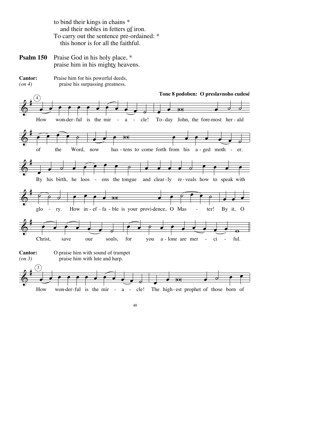to bind their kings in chains \* and their nobles in fetters of iron. To carry out the sentence pre-ordained: \* this honor is for all the faithful.

- Praise God in his holy place, \* praise him in his mighty heavens. **Psalm 150**
- Praise him for his powerful deeds, praise his surpassing greatness. **Cantor:** *(on 4)*

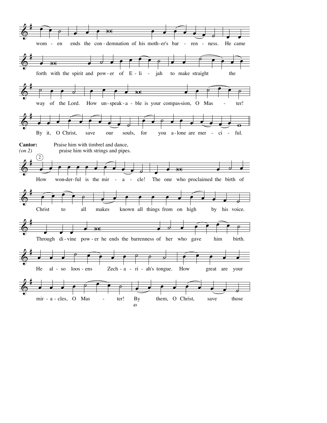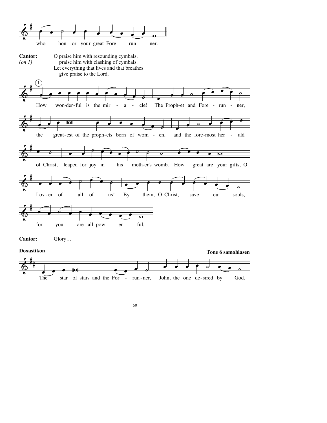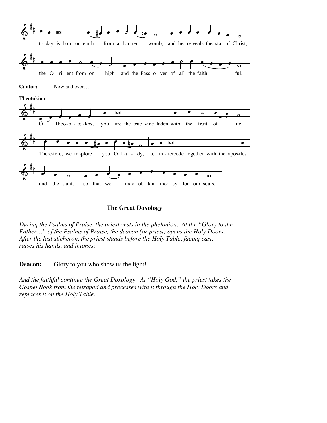

#### **The Great Doxology**

*During the Psalms of Praise, the priest vests in the phelonion. At the "Glory to the Father…" of the Psalms of Praise, the deacon (or priest) opens the Holy Doors. After the last sticheron, the priest stands before the Holy Table, facing east, raises his hands, and intones:*

**Deacon:** Glory to you who show us the light!

*And the faithful continue the Great Doxology. At "Holy God," the priest takes the Gospel Book from the tetrapod and processes with it through the Holy Doors and replaces it on the Holy Table.*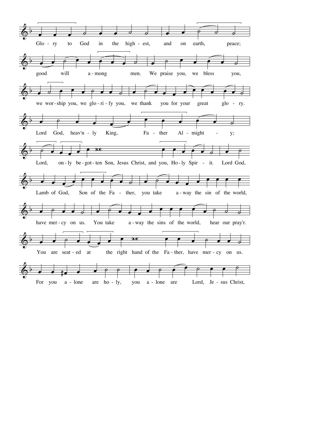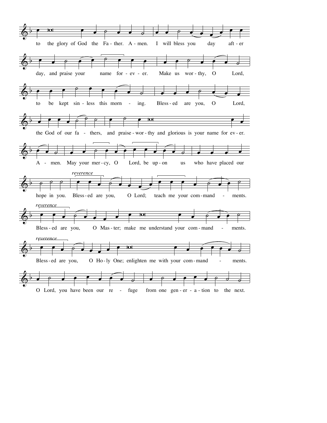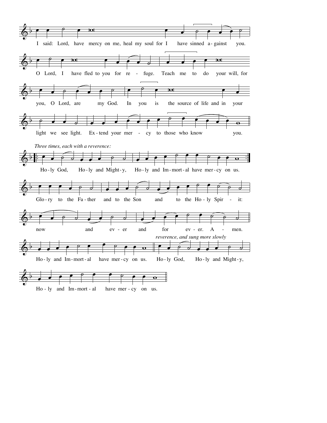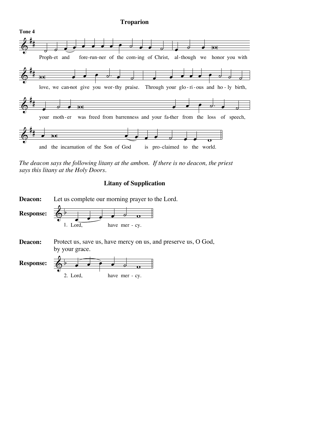#### **Troparion**



*The deacon says the following litany at the ambon. If there is no deacon, the priest says this litany at the Holy Doors.*

## **Litany of Supplication**

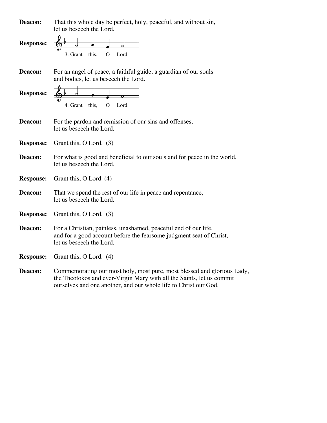| Deacon:          | That this whole day be perfect, holy, peaceful, and without sin,<br>let us beseech the Lord.                                                                                                                         |
|------------------|----------------------------------------------------------------------------------------------------------------------------------------------------------------------------------------------------------------------|
| <b>Response:</b> | this,<br>Lord.<br>3. Grant<br>O                                                                                                                                                                                      |
| Deacon:          | For an angel of peace, a faithful guide, a guardian of our souls<br>and bodies, let us beseech the Lord.                                                                                                             |
| <b>Response:</b> | Lord.<br>4. Grant<br>this,<br>O                                                                                                                                                                                      |
| Deacon:          | For the pardon and remission of our sins and offenses,<br>let us beseech the Lord.                                                                                                                                   |
| <b>Response:</b> | Grant this, O Lord. (3)                                                                                                                                                                                              |
| Deacon:          | For what is good and beneficial to our souls and for peace in the world,<br>let us beseech the Lord.                                                                                                                 |
| <b>Response:</b> | Grant this, O Lord (4)                                                                                                                                                                                               |
| Deacon:          | That we spend the rest of our life in peace and repentance,<br>let us beseech the Lord.                                                                                                                              |
| <b>Response:</b> | Grant this, O Lord. (3)                                                                                                                                                                                              |
| Deacon:          | For a Christian, painless, unashamed, peaceful end of our life,<br>and for a good account before the fearsome judgment seat of Christ,<br>let us beseech the Lord.                                                   |
| <b>Response:</b> | Grant this, O Lord. (4)                                                                                                                                                                                              |
| Deacon:          | Commemorating our most holy, most pure, most blessed and glorious Lady,<br>the Theotokos and ever-Virgin Mary with all the Saints, let us commit<br>ourselves and one another, and our whole life to Christ our God. |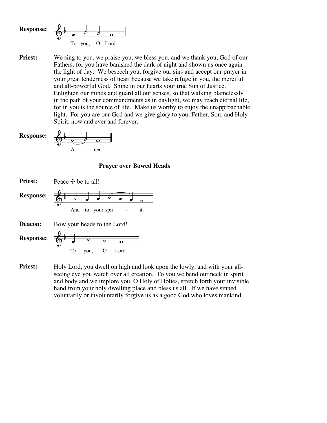

**Priest:** We sing to you, we praise you, we bless you, and we thank you, God of our Fathers, for you have banished the dark of night and shown us once again the light of day. We beseech you, forgive our sins and accept our prayer in your great tenderness of heart because we take refuge in you, the merciful and all-powerful God. Shine in our hearts your true Sun of Justice. Enlighten our minds and guard all our senses, so that walking blamelessly in the path of your commandments as in daylight, we may reach eternal life, for in you is the source of life. Make us worthy to enjoy the unapproachable light. For you are our God and we give glory to you, Father, Son, and Holy Spirit, now and ever and forever.



#### **Prayer over Bowed Heads**



**Priest:** Holy Lord, you dwell on high and look upon the lowly, and with your allseeing eye you watch over all creation. To you we bend our neck in spirit and body and we implore you, O Holy of Holies, stretch forth your invisible hand from your holy dwelling place and bless us all. If we have sinned voluntarily or involuntarily forgive us as a good God who loves mankind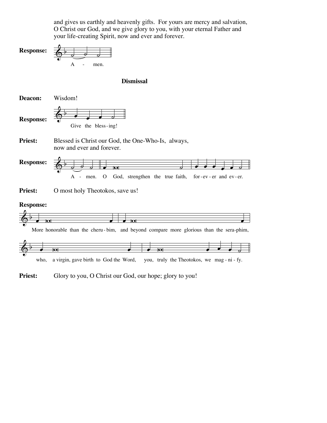and gives us earthly and heavenly gifts. For yours are mercy and salvation, O Christ our God, and we give glory to you, with your eternal Father and your life-creating Spirit, now and ever and forever.



## **Dismissal**



Blessed is Christ our God, the One-Who-Is, always, now and ever and forever. **Priest:**

 $\phi$   $\rightarrow$   $\circ$   $\circ$ A - men. O God, strengthen the true faith, for-ev-er and ev-er.  $\bullet$   $\vert$   $\circ$   $\vert$   $\circ$ . . . . . *.* **Response:**

O most holy Theotokos, save us! **Priest:**

#### **Response:**